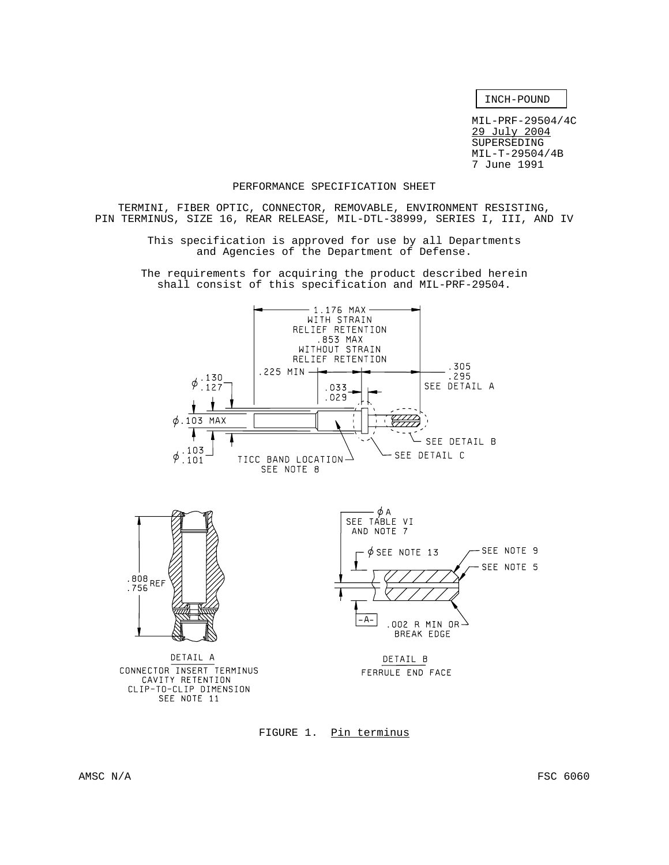INCH-POUND

MIL-PRF-29504/4C 29 July 2004 SUPERSEDING MIL-T-29504/4B 7 June 1991

### PERFORMANCE SPECIFICATION SHEET

TERMINI, FIBER OPTIC, CONNECTOR, REMOVABLE, ENVIRONMENT RESISTING, PIN TERMINUS, SIZE 16, REAR RELEASE, MIL-DTL-38999, SERIES I, III, AND IV

> This specification is approved for use by all Departments and Agencies of the Department of Defense.

The requirements for acquiring the product described herein shall consist of this specification and MIL-PRF-29504.



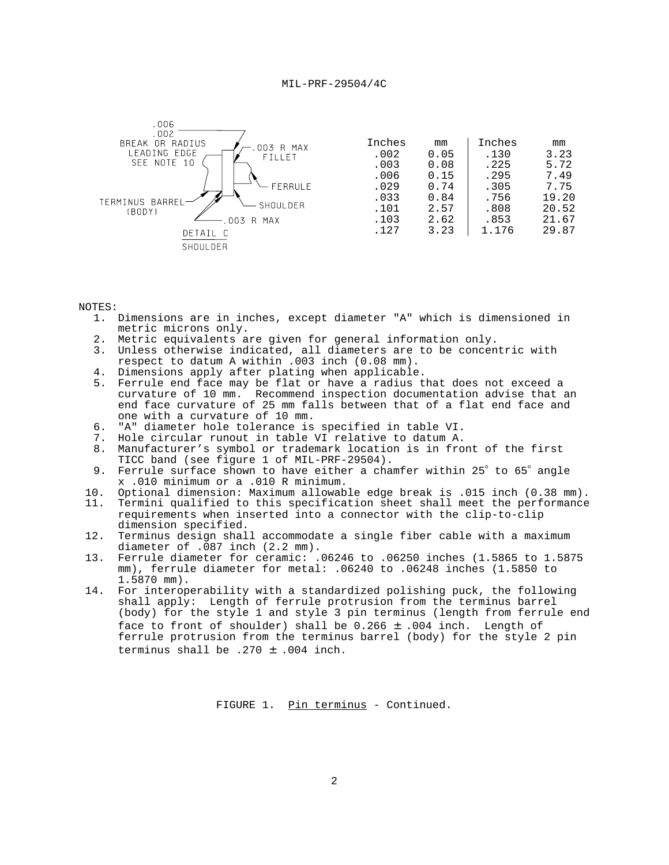

#### NOTES:

- 1. Dimensions are in inches, except diameter "A" which is dimensioned in metric microns only.
- 2. Metric equivalents are given for general information only.
- 3. Unless otherwise indicated, all diameters are to be concentric with respect to datum A within .003 inch (0.08 mm).
- 4. Dimensions apply after plating when applicable.
- 5. Ferrule end face may be flat or have a radius that does not exceed a curvature of 10 mm. Recommend inspection documentation advise that an end face curvature of 25 mm falls between that of a flat end face and one with a curvature of 10 mm.
- 6. "A" diameter hole tolerance is specified in table VI.
- Hole circular runout in table VI relative to datum A.
- 8. Manufacturer's symbol or trademark location is in front of the first TICC band (see figure 1 of MIL-PRF-29504).
- 9. Ferrule surface shown to have either a chamfer within 25° to 65° angle x .010 minimum or a .010 R minimum.
- 10. Optional dimension: Maximum allowable edge break is .015 inch (0.38 mm).
- 11. Termini qualified to this specification sheet shall meet the performance requirements when inserted into a connector with the clip-to-clip dimension specified.
- 12. Terminus design shall accommodate a single fiber cable with a maximum diameter of .087 inch (2.2 mm).
- 13. Ferrule diameter for ceramic: .06246 to .06250 inches (1.5865 to 1.5875 mm), ferrule diameter for metal: .06240 to .06248 inches (1.5850 to 1.5870 mm).
- 14. For interoperability with a standardized polishing puck, the following shall apply: Length of ferrule protrusion from the terminus barrel (body) for the style 1 and style 3 pin terminus (length from ferrule end face to front of shoulder) shall be  $0.266 \pm .004$  inch. Length of ferrule protrusion from the terminus barrel (body) for the style 2 pin terminus shall be .270 ± .004 inch.

FIGURE 1. Pin terminus - Continued.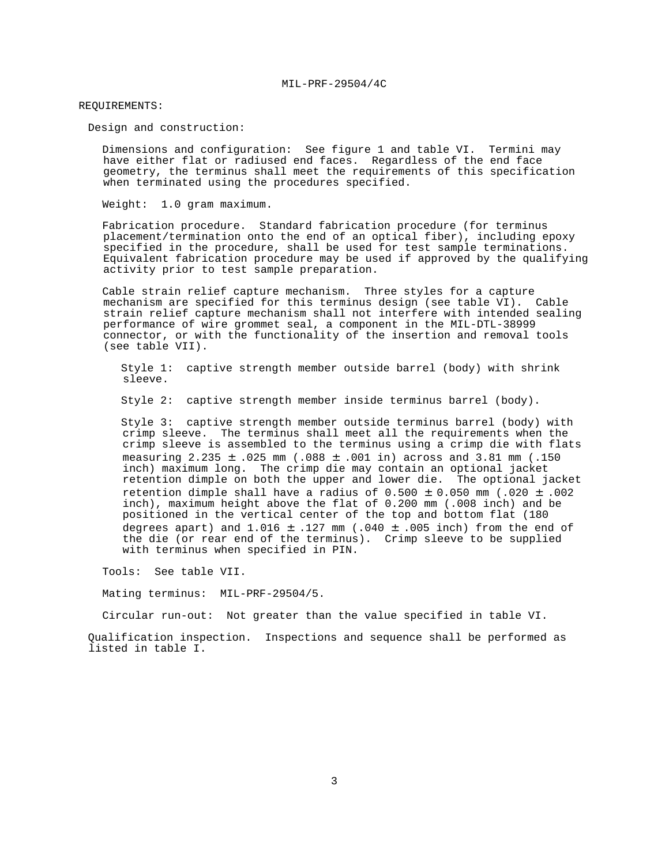#### REQUIREMENTS:

Design and construction:

 Dimensions and configuration: See figure 1 and table VI. Termini may have either flat or radiused end faces. Regardless of the end face geometry, the terminus shall meet the requirements of this specification when terminated using the procedures specified.

Weight: 1.0 gram maximum.

 Fabrication procedure. Standard fabrication procedure (for terminus placement/termination onto the end of an optical fiber), including epoxy specified in the procedure, shall be used for test sample terminations. Equivalent fabrication procedure may be used if approved by the qualifying activity prior to test sample preparation.

 Cable strain relief capture mechanism. Three styles for a capture mechanism are specified for this terminus design (see table VI). Cable strain relief capture mechanism shall not interfere with intended sealing performance of wire grommet seal, a component in the MIL-DTL-38999 connector, or with the functionality of the insertion and removal tools (see table VII).

 Style 1: captive strength member outside barrel (body) with shrink sleeve.

Style 2: captive strength member inside terminus barrel (body).

 Style 3: captive strength member outside terminus barrel (body) with crimp sleeve. The terminus shall meet all the requirements when the crimp sleeve is assembled to the terminus using a crimp die with flats measuring  $2.235 \pm .025$  mm (.088  $\pm$  .001 in) across and 3.81 mm (.150 inch) maximum long. The crimp die may contain an optional jacket retention dimple on both the upper and lower die. The optional jacket retention dimple shall have a radius of  $0.500 \pm 0.050$  mm (.020  $\pm$  .002 inch), maximum height above the flat of 0.200 mm (.008 inch) and be positioned in the vertical center of the top and bottom flat (180 degrees apart) and  $1.016 \pm .127$  mm (.040  $\pm$  .005 inch) from the end of the die (or rear end of the terminus). Crimp sleeve to be supplied with terminus when specified in PIN.

Tools: See table VII.

Mating terminus: MIL-PRF-29504/5.

Circular run-out: Not greater than the value specified in table VI.

 Qualification inspection. Inspections and sequence shall be performed as listed in table I.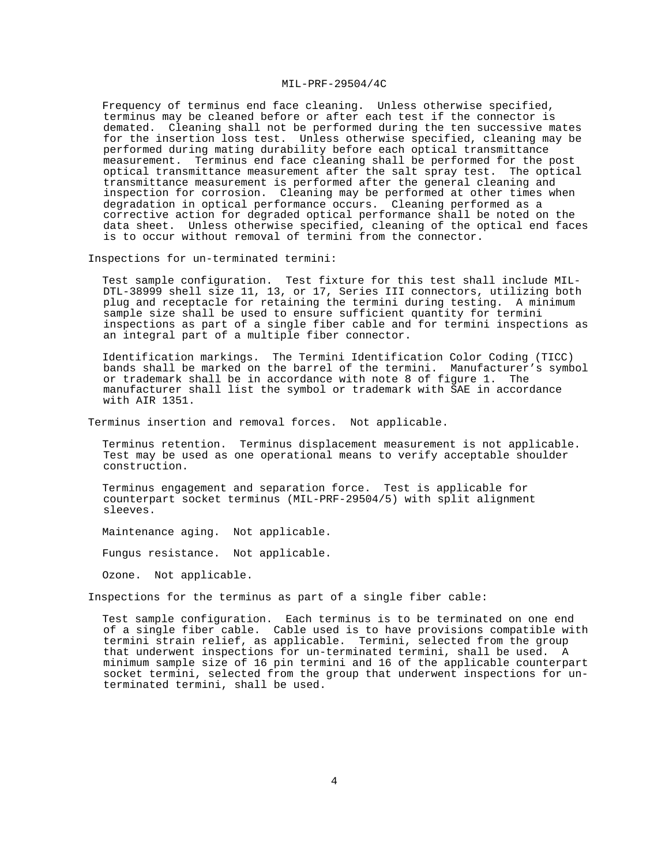Frequency of terminus end face cleaning. Unless otherwise specified, terminus may be cleaned before or after each test if the connector is demated. Cleaning shall not be performed during the ten successive mates for the insertion loss test. Unless otherwise specified, cleaning may be performed during mating durability before each optical transmittance measurement. Terminus end face cleaning shall be performed for the post optical transmittance measurement after the salt spray test. The optical transmittance measurement is performed after the general cleaning and inspection for corrosion. Cleaning may be performed at other times when degradation in optical performance occurs. Cleaning performed as a corrective action for degraded optical performance shall be noted on the data sheet. Unless otherwise specified, cleaning of the optical end faces is to occur without removal of termini from the connector.

Inspections for un-terminated termini:

 Test sample configuration. Test fixture for this test shall include MIL-DTL-38999 shell size 11, 13, or 17, Series III connectors, utilizing both plug and receptacle for retaining the termini during testing. A minimum sample size shall be used to ensure sufficient quantity for termini inspections as part of a single fiber cable and for termini inspections as an integral part of a multiple fiber connector.

 Identification markings. The Termini Identification Color Coding (TICC) bands shall be marked on the barrel of the termini. Manufacturer's symbol or trademark shall be in accordance with note 8 of figure 1. The manufacturer shall list the symbol or trademark with SAE in accordance with AIR 1351.

Terminus insertion and removal forces. Not applicable.

 Terminus retention. Terminus displacement measurement is not applicable. Test may be used as one operational means to verify acceptable shoulder construction.

 Terminus engagement and separation force. Test is applicable for counterpart socket terminus (MIL-PRF-29504/5) with split alignment sleeves.

Maintenance aging. Not applicable.

Fungus resistance. Not applicable.

Ozone. Not applicable.

Inspections for the terminus as part of a single fiber cable:

 Test sample configuration. Each terminus is to be terminated on one end of a single fiber cable. Cable used is to have provisions compatible with termini strain relief, as applicable. Termini, selected from the group that underwent inspections for un-terminated termini, shall be used. A minimum sample size of 16 pin termini and 16 of the applicable counterpart socket termini, selected from the group that underwent inspections for unterminated termini, shall be used.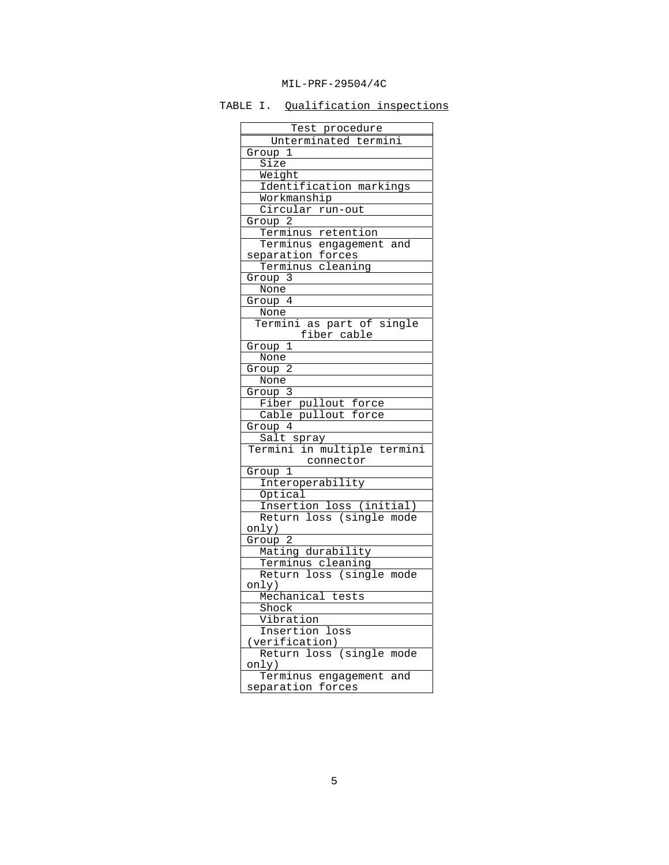TABLE I. Qualification inspections

| Test procedure                                |
|-----------------------------------------------|
| Unterminated termini                          |
| $\overline{\text{Group}}$ 1                   |
| Size                                          |
| Weight                                        |
| Identification markings                       |
| Workmanship                                   |
| Circular run-out                              |
| Group <sub>2</sub>                            |
| Terminus retention<br>Terminus engagement and |
|                                               |
| separation forces                             |
| Terminus cleaning                             |
| Group 3                                       |
| None                                          |
| Group 4                                       |
| None                                          |
| Termini as part of single                     |
| fiber cable                                   |
| Group 1                                       |
| None                                          |
| Group 2                                       |
| None                                          |
| <u>Group 3</u>                                |
|                                               |
| Fiber pullout force<br>Cable pullout force    |
| Group $\overline{4}$                          |
|                                               |
| Salt spray<br>Termini in multiple termini     |
| connector                                     |
|                                               |
| Group 1                                       |
| Interoperability                              |
| Optical                                       |
| Insertion loss (initial)                      |
| Return loss (single mode                      |
| only)                                         |
| Group 2                                       |
| Mating durability                             |
| Terminus cleaning                             |
| Return loss (single mode                      |
| only)                                         |
| Mechanical tests                              |
| Shock                                         |
| Vibration                                     |
| Insertion loss                                |
| (verification)                                |
| (single mode<br>loss<br>Return                |
| only)                                         |
| Terminus<br>engagement and                    |
| separation<br>forces                          |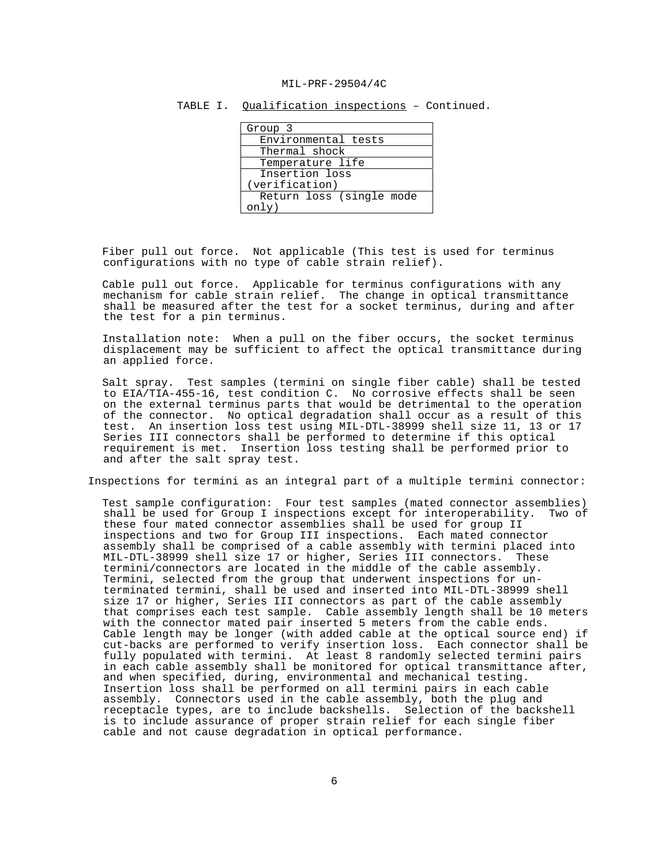| Group 3                  |
|--------------------------|
| Environmental tests      |
| Thermal shock            |
| Temperature life         |
| Insertion loss           |
| (verification)           |
| Return loss (single mode |
| $\text{only}$            |

TABLE I. Qualification inspections - Continued.

 Fiber pull out force. Not applicable (This test is used for terminus configurations with no type of cable strain relief).

 Cable pull out force. Applicable for terminus configurations with any mechanism for cable strain relief. The change in optical transmittance shall be measured after the test for a socket terminus, during and after the test for a pin terminus.

 Installation note: When a pull on the fiber occurs, the socket terminus displacement may be sufficient to affect the optical transmittance during an applied force.

 Salt spray. Test samples (termini on single fiber cable) shall be tested to EIA/TIA-455-16, test condition C. No corrosive effects shall be seen on the external terminus parts that would be detrimental to the operation of the connector. No optical degradation shall occur as a result of this test. An insertion loss test using MIL-DTL-38999 shell size 11, 13 or 17 Series III connectors shall be performed to determine if this optical requirement is met. Insertion loss testing shall be performed prior to and after the salt spray test.

Inspections for termini as an integral part of a multiple termini connector:

 Test sample configuration: Four test samples (mated connector assemblies) shall be used for Group I inspections except for interoperability. Two of these four mated connector assemblies shall be used for group II inspections and two for Group III inspections. Each mated connector assembly shall be comprised of a cable assembly with termini placed into MIL-DTL-38999 shell size 17 or higher, Series III connectors. These termini/connectors are located in the middle of the cable assembly. Termini, selected from the group that underwent inspections for unterminated termini, shall be used and inserted into MIL-DTL-38999 shell size 17 or higher, Series III connectors as part of the cable assembly that comprises each test sample. Cable assembly length shall be 10 meters with the connector mated pair inserted 5 meters from the cable ends. Cable length may be longer (with added cable at the optical source end) if cut-backs are performed to verify insertion loss. Each connector shall be fully populated with termini. At least 8 randomly selected termini pairs in each cable assembly shall be monitored for optical transmittance after, and when specified, during, environmental and mechanical testing. Insertion loss shall be performed on all termini pairs in each cable assembly. Connectors used in the cable assembly, both the plug and receptacle types, are to include backshells. Selection of the backshell is to include assurance of proper strain relief for each single fiber cable and not cause degradation in optical performance.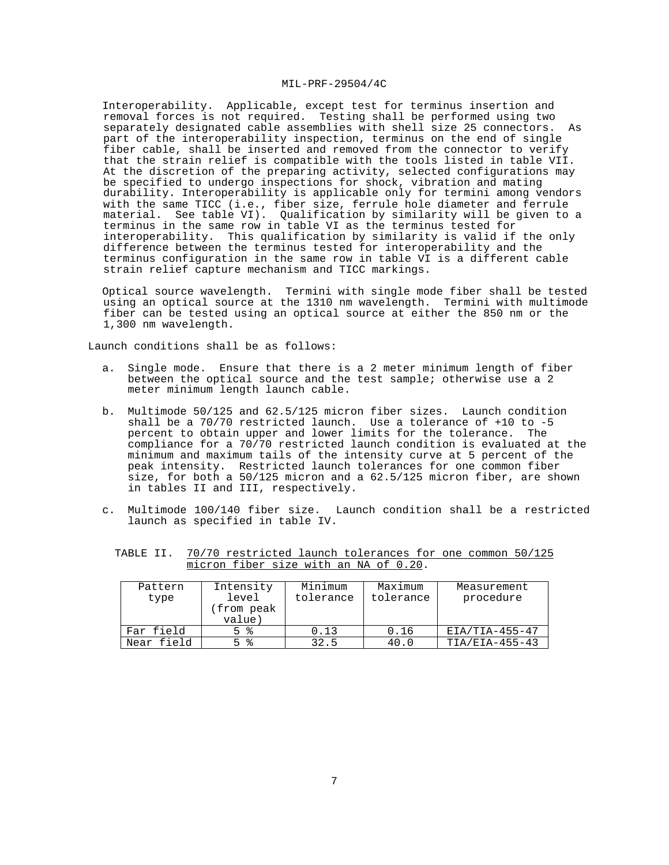Interoperability. Applicable, except test for terminus insertion and removal forces is not required. Testing shall be performed using two separately designated cable assemblies with shell size 25 connectors. As part of the interoperability inspection, terminus on the end of single fiber cable, shall be inserted and removed from the connector to verify that the strain relief is compatible with the tools listed in table VII. At the discretion of the preparing activity, selected configurations may be specified to undergo inspections for shock, vibration and mating durability. Interoperability is applicable only for termini among vendors with the same TICC (i.e., fiber size, ferrule hole diameter and ferrule material. See table VI). Qualification by similarity will be given to a terminus in the same row in table VI as the terminus tested for interoperability. This qualification by similarity is valid if the only difference between the terminus tested for interoperability and the terminus configuration in the same row in table VI is a different cable strain relief capture mechanism and TICC markings.

 Optical source wavelength. Termini with single mode fiber shall be tested using an optical source at the 1310 nm wavelength. Termini with multimode fiber can be tested using an optical source at either the 850 nm or the 1,300 nm wavelength.

Launch conditions shall be as follows:

- a. Single mode. Ensure that there is a 2 meter minimum length of fiber between the optical source and the test sample; otherwise use a 2 meter minimum length launch cable.
- b. Multimode 50/125 and 62.5/125 micron fiber sizes. Launch condition shall be a  $70/70$  restricted launch. Use a tolerance of  $+10$  to  $-5$  percent to obtain upper and lower limits for the tolerance. The percent to obtain upper and lower limits for the tolerance. compliance for a 70/70 restricted launch condition is evaluated at the minimum and maximum tails of the intensity curve at 5 percent of the peak intensity. Restricted launch tolerances for one common fiber size, for both a 50/125 micron and a 62.5/125 micron fiber, are shown in tables II and III, respectively.
- c. Multimode 100/140 fiber size. Launch condition shall be a restricted launch as specified in table IV.

|  |                                       |  |  |  | TABLE II. 70/70 restricted launch tolerances for one common 50/125 |  |
|--|---------------------------------------|--|--|--|--------------------------------------------------------------------|--|
|  | micron fiber size with an NA of 0.20. |  |  |  |                                                                    |  |

| Pattern<br>type | Intensity<br>level<br>from peak)<br>value) | Minimum<br>tolerance | Maximum<br>tolerance | Measurement<br>procedure |
|-----------------|--------------------------------------------|----------------------|----------------------|--------------------------|
| Far field       | 5 %                                        | 0.13                 | 0.16                 | $EIA/TIA-455-47$         |
| Near field      | ႜႜ<br>Б.                                   | 32.5                 | 40.0                 | $TIA/ELA-455-43$         |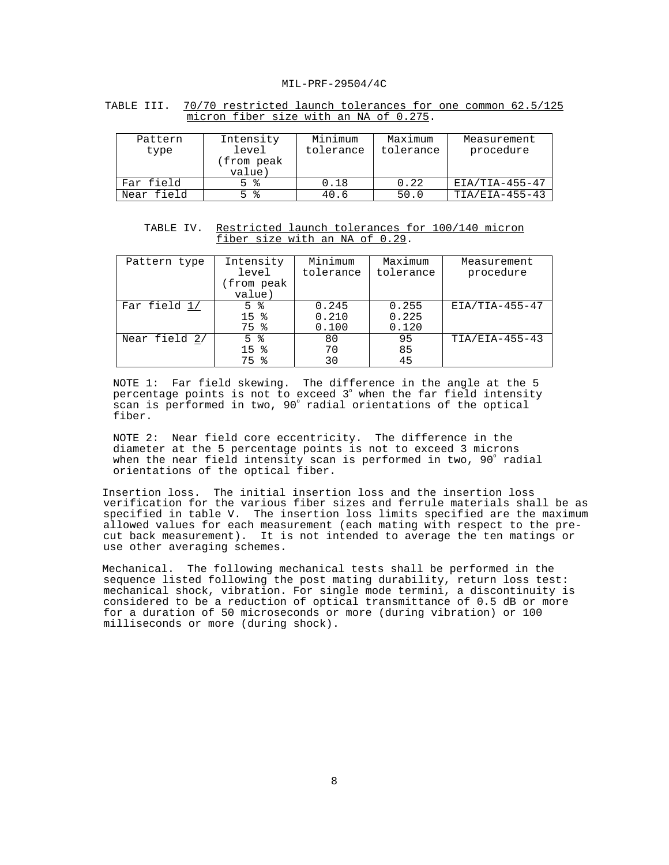| TABLE III.  70/70 restricted launch tolerances for one common 62.5/125 |                                        |  |  |  |  |  |
|------------------------------------------------------------------------|----------------------------------------|--|--|--|--|--|
|                                                                        | micron fiber size with an NA of 0.275. |  |  |  |  |  |

| Pattern<br>type | Intensity<br>level<br>from peak)<br>value) | Minimum<br>tolerance | Maximum<br>tolerance | Measurement<br>procedure |
|-----------------|--------------------------------------------|----------------------|----------------------|--------------------------|
| Far field       | 5 %                                        | 0.18                 | 0.22                 | $EIA/TIA-455-47$         |
| Near field      | ౣ<br>ц.                                    | 40.6                 | 50.0                 | $TIA/ELA-455-43$         |

TABLE IV. Restricted launch tolerances for 100/140 micron fiber size with an NA of 0.29.

| Pattern type  | Intensity<br>level | Minimum<br>tolerance | Maximum<br>tolerance | Measurement<br>procedure |
|---------------|--------------------|----------------------|----------------------|--------------------------|
|               | (from peak         |                      |                      |                          |
|               | value)             |                      |                      |                          |
| Far field 1/  | 5 %                | 0.245                | 0.255                | $EIA/TIA-455-47$         |
|               | 15 <sup>8</sup>    | 0.210                | 0.225                |                          |
|               | 75 %               | 0.100                | 0.120                |                          |
| Near field 2/ | 5 %                | 80                   | 95                   | $TIA/ELA-455-43$         |
|               | 15 <sub>8</sub>    | 70                   | 85                   |                          |
|               | 75<br>ႜ            | 30                   | 45                   |                          |

NOTE 1: Far field skewing. The difference in the angle at the 5 percentage points is not to exceed 3° when the far field intensity .<br>scan is performed in two, 90° radial orientations of the optical fiber.

NOTE 2: Near field core eccentricity. The difference in the diameter at the 5 percentage points is not to exceed 3 microns when the near field intensity scan is performed in two, 90° radial orientations of the optical fiber.

 Insertion loss. The initial insertion loss and the insertion loss verification for the various fiber sizes and ferrule materials shall be as specified in table V. The insertion loss limits specified are the maximum allowed values for each measurement (each mating with respect to the precut back measurement). It is not intended to average the ten matings or use other averaging schemes.

 Mechanical. The following mechanical tests shall be performed in the sequence listed following the post mating durability, return loss test: mechanical shock, vibration. For single mode termini, a discontinuity is considered to be a reduction of optical transmittance of 0.5 dB or more for a duration of 50 microseconds or more (during vibration) or 100 milliseconds or more (during shock).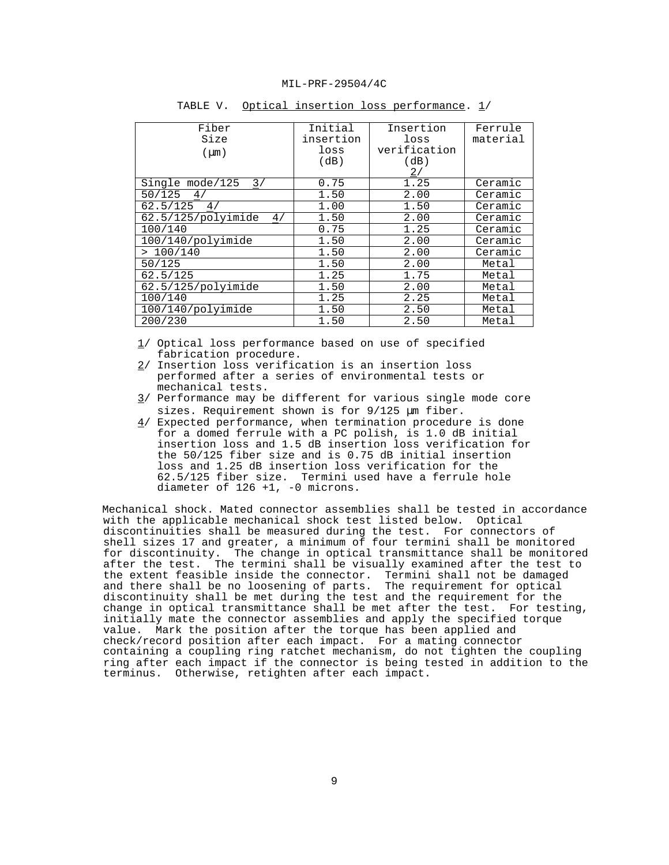| Fiber                       | Initial   | Insertion    | Ferrule  |
|-----------------------------|-----------|--------------|----------|
| Size                        | insertion | loss         | material |
| $(\mu m)$                   | loss      | verification |          |
|                             | (dB)      | (dB)         |          |
|                             |           | $\sqrt{2}$ / |          |
| Single mode/125<br>3/       | 0.75      | 1.25         | Ceramic  |
| 50/125<br>4 <sub>l</sub>    | 1.50      | 2.00         | Ceramic  |
| 62.5/125<br>4 <sub>1</sub>  | 1.00      | 1.50         | Ceramic  |
| $62.5/125$ /polyimide<br>4/ | 1.50      | 2.00         | Ceramic  |
| 100/140                     | 0.75      | 1.25         | Ceramic  |
| 100/140/polyimide           | 1.50      | 2.00         | Ceramic  |
| >100/140                    | 1.50      | 2.00         | Ceramic  |
| 50/125                      | 1.50      | 2.00         | Metal    |
| 62.5/125                    | 1.25      | 1.75         | Metal    |
| 62.5/125/polyimide          | 1.50      | 2.00         | Metal    |
| 100/140                     | 1.25      | 2.25         | Metal    |
| 100/140/polyimide           | 1.50      | 2.50         | Metal    |
| 200/230                     | 1.50      | 2.50         | Metal    |

TABLE V. Optical insertion loss performance. 1/

1/ Optical loss performance based on use of specified fabrication procedure.

- 2/ Insertion loss verification is an insertion loss performed after a series of environmental tests or mechanical tests.
- 3/ Performance may be different for various single mode core sizes. Requirement shown is for 9/125 µm fiber.
- $4/$  Expected performance, when termination procedure is done for a domed ferrule with a PC polish, is 1.0 dB initial insertion loss and 1.5 dB insertion loss verification for the 50/125 fiber size and is 0.75 dB initial insertion loss and 1.25 dB insertion loss verification for the 62.5/125 fiber size. Termini used have a ferrule hole diameter of 126 +1, -0 microns.

 Mechanical shock. Mated connector assemblies shall be tested in accordance with the applicable mechanical shock test listed below. Optical discontinuities shall be measured during the test. For connectors of shell sizes 17 and greater, a minimum of four termini shall be monitored for discontinuity. The change in optical transmittance shall be monitored after the test. The termini shall be visually examined after the test to the extent feasible inside the connector. Termini shall not be damaged and there shall be no loosening of parts. The requirement for optical discontinuity shall be met during the test and the requirement for the change in optical transmittance shall be met after the test. For testing, initially mate the connector assemblies and apply the specified torque value. Mark the position after the torque has been applied and check/record position after each impact. For a mating connector containing a coupling ring ratchet mechanism, do not tighten the coupling ring after each impact if the connector is being tested in addition to the terminus. Otherwise, retighten after each impact.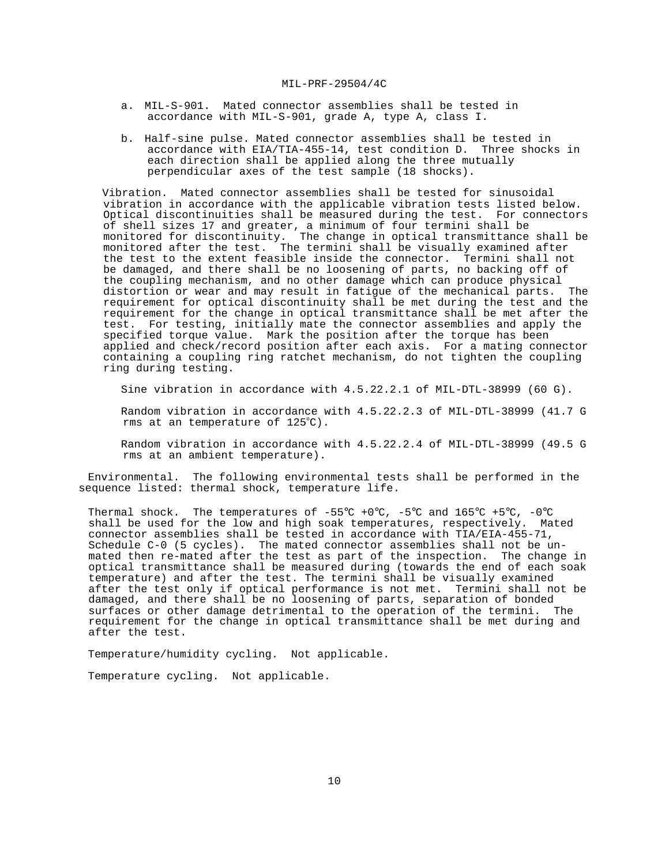- a. MIL-S-901. Mated connector assemblies shall be tested in accordance with MIL-S-901, grade A, type A, class I.
- b. Half-sine pulse. Mated connector assemblies shall be tested in accordance with EIA/TIA-455-14, test condition D. Three shocks in each direction shall be applied along the three mutually perpendicular axes of the test sample (18 shocks).

 Vibration. Mated connector assemblies shall be tested for sinusoidal vibration in accordance with the applicable vibration tests listed below. Optical discontinuities shall be measured during the test. For connectors of shell sizes 17 and greater, a minimum of four termini shall be monitored for discontinuity. The change in optical transmittance shall be monitored after the test. The termini shall be visually examined after the test to the extent feasible inside the connector. Termini shall not be damaged, and there shall be no loosening of parts, no backing off of the coupling mechanism, and no other damage which can produce physical distortion or wear and may result in fatigue of the mechanical parts. The requirement for optical discontinuity shall be met during the test and the requirement for the change in optical transmittance shall be met after the test. For testing, initially mate the connector assemblies and apply the specified torque value. Mark the position after the torque has been applied and check/record position after each axis. For a mating connector containing a coupling ring ratchet mechanism, do not tighten the coupling ring during testing.

Sine vibration in accordance with 4.5.22.2.1 of MIL-DTL-38999 (60 G).

 Random vibration in accordance with 4.5.22.2.3 of MIL-DTL-38999 (41.7 G rms at an temperature of  $125^{\circ}$ C).

 Random vibration in accordance with 4.5.22.2.4 of MIL-DTL-38999 (49.5 G rms at an ambient temperature).

 Environmental. The following environmental tests shall be performed in the sequence listed: thermal shock, temperature life.

Thermal shock. The temperatures of  $-55^{\circ}C + 0^{\circ}C$ ,  $-5^{\circ}C$  and  $165^{\circ}C + 5^{\circ}C$ ,  $-0^{\circ}C$ shall be used for the low and high soak temperatures, respectively. Mated connector assemblies shall be tested in accordance with TIA/EIA-455-71, Schedule C-0 (5 cycles). The mated connector assemblies shall not be unmated then re-mated after the test as part of the inspection. The change in optical transmittance shall be measured during (towards the end of each soak temperature) and after the test. The termini shall be visually examined after the test only if optical performance is not met. Termini shall not be damaged, and there shall be no loosening of parts, separation of bonded surfaces or other damage detrimental to the operation of the termini. The requirement for the change in optical transmittance shall be met during and after the test.

Temperature/humidity cycling. Not applicable.

Temperature cycling. Not applicable.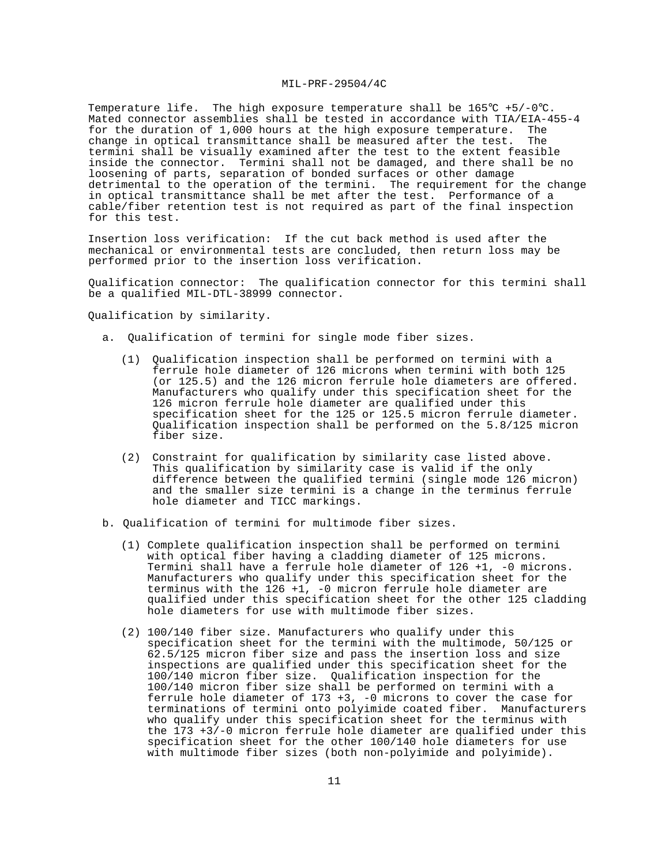Temperature life. The high exposure temperature shall be  $165^{\circ}C + 5/-0^{\circ}C$ . Mated connector assemblies shall be tested in accordance with TIA/EIA-455-4 for the duration of 1,000 hours at the high exposure temperature. The change in optical transmittance shall be measured after the test. The termini shall be visually examined after the test to the extent feasible inside the connector. Termini shall not be damaged, and there shall be no loosening of parts, separation of bonded surfaces or other damage detrimental to the operation of the termini. The requirement for the change in optical transmittance shall be met after the test. Performance of a cable/fiber retention test is not required as part of the final inspection for this test.

 Insertion loss verification: If the cut back method is used after the mechanical or environmental tests are concluded, then return loss may be performed prior to the insertion loss verification.

Qualification connector: The qualification connector for this termini shall be a qualified MIL-DTL-38999 connector.

Qualification by similarity.

- a. Qualification of termini for single mode fiber sizes.
	- (1) Qualification inspection shall be performed on termini with a ferrule hole diameter of 126 microns when termini with both 125 (or 125.5) and the 126 micron ferrule hole diameters are offered. Manufacturers who qualify under this specification sheet for the 126 micron ferrule hole diameter are qualified under this specification sheet for the 125 or 125.5 micron ferrule diameter. Qualification inspection shall be performed on the 5.8/125 micron fiber size.
	- (2) Constraint for qualification by similarity case listed above. This qualification by similarity case is valid if the only difference between the qualified termini (single mode 126 micron) and the smaller size termini is a change in the terminus ferrule hole diameter and TICC markings.
- b. Qualification of termini for multimode fiber sizes.
	- (1) Complete qualification inspection shall be performed on termini with optical fiber having a cladding diameter of 125 microns. Termini shall have a ferrule hole diameter of 126 +1, -0 microns. Manufacturers who qualify under this specification sheet for the terminus with the  $126 + 1$ , -0 micron ferrule hole diameter are qualified under this specification sheet for the other 125 cladding hole diameters for use with multimode fiber sizes.
	- (2) 100/140 fiber size. Manufacturers who qualify under this specification sheet for the termini with the multimode, 50/125 or 62.5/125 micron fiber size and pass the insertion loss and size inspections are qualified under this specification sheet for the 100/140 micron fiber size. Qualification inspection for the 100/140 micron fiber size shall be performed on termini with a ferrule hole diameter of 173 +3, -0 microns to cover the case for terminations of termini onto polyimide coated fiber. Manufacturers who qualify under this specification sheet for the terminus with the 173 +3/-0 micron ferrule hole diameter are qualified under this specification sheet for the other 100/140 hole diameters for use with multimode fiber sizes (both non-polyimide and polyimide).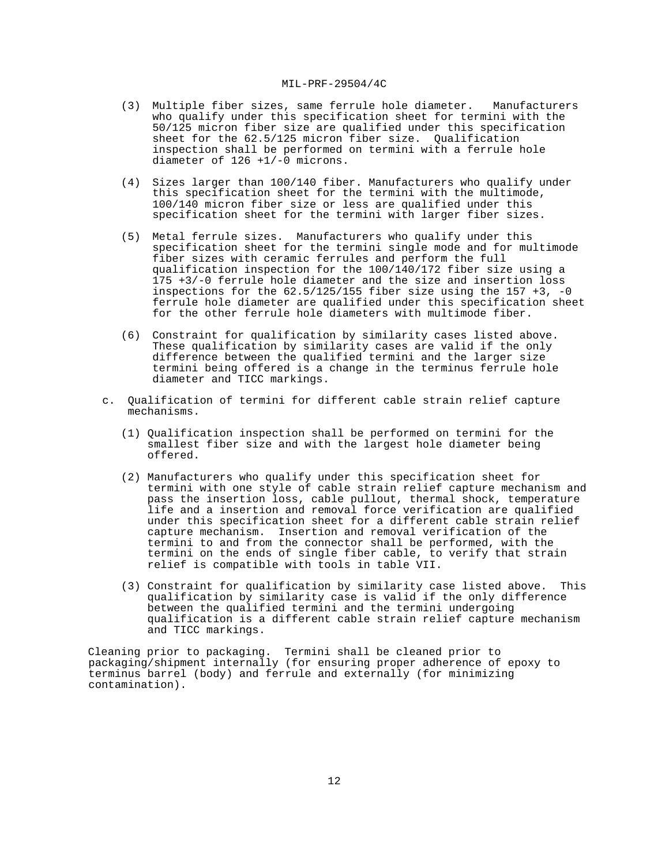- (3) Multiple fiber sizes, same ferrule hole diameter. Manufacturers who qualify under this specification sheet for termini with the 50/125 micron fiber size are qualified under this specification sheet for the 62.5/125 micron fiber size. Qualification inspection shall be performed on termini with a ferrule hole diameter of 126 +1/-0 microns.
- (4) Sizes larger than 100/140 fiber. Manufacturers who qualify under this specification sheet for the termini with the multimode, 100/140 micron fiber size or less are qualified under this specification sheet for the termini with larger fiber sizes.
- (5) Metal ferrule sizes. Manufacturers who qualify under this specification sheet for the termini single mode and for multimode fiber sizes with ceramic ferrules and perform the full qualification inspection for the 100/140/172 fiber size using a 175 +3/-0 ferrule hole diameter and the size and insertion loss inspections for the  $62.5/125/155$  fiber size using the 157 +3, -0 ferrule hole diameter are qualified under this specification sheet for the other ferrule hole diameters with multimode fiber.
- (6) Constraint for qualification by similarity cases listed above. These qualification by similarity cases are valid if the only difference between the qualified termini and the larger size termini being offered is a change in the terminus ferrule hole diameter and TICC markings.
- c. Qualification of termini for different cable strain relief capture mechanisms.
	- (1) Qualification inspection shall be performed on termini for the smallest fiber size and with the largest hole diameter being offered.
	- (2) Manufacturers who qualify under this specification sheet for termini with one style of cable strain relief capture mechanism and pass the insertion loss, cable pullout, thermal shock, temperature life and a insertion and removal force verification are qualified under this specification sheet for a different cable strain relief capture mechanism. Insertion and removal verification of the termini to and from the connector shall be performed, with the termini on the ends of single fiber cable, to verify that strain relief is compatible with tools in table VII.
	- (3) Constraint for qualification by similarity case listed above. This qualification by similarity case is valid if the only difference between the qualified termini and the termini undergoing qualification is a different cable strain relief capture mechanism and TICC markings.

 Cleaning prior to packaging. Termini shall be cleaned prior to packaging/shipment internally (for ensuring proper adherence of epoxy to terminus barrel (body) and ferrule and externally (for minimizing contamination).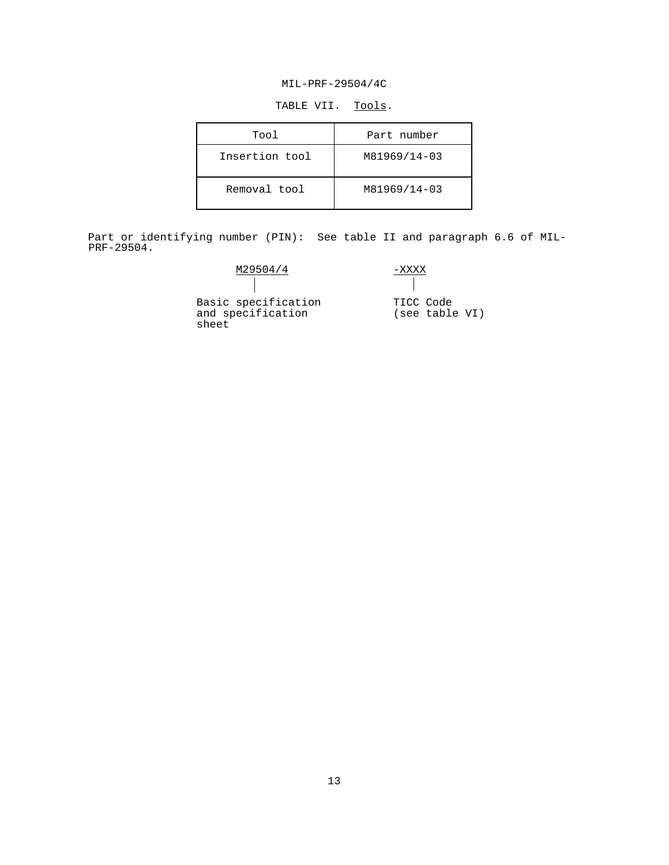TABLE VII. Tools.

| Tool           | Part number  |
|----------------|--------------|
| Insertion tool | M81969/14-03 |
| Removal tool   | M81969/14-03 |

 Part or identifying number (PIN): See table II and paragraph 6.6 of MIL-PRF-29504.

| M29504/4                                          |                             |
|---------------------------------------------------|-----------------------------|
|                                                   |                             |
| Basic specification<br>and specification<br>sheet | TICC Code<br>(see table VI) |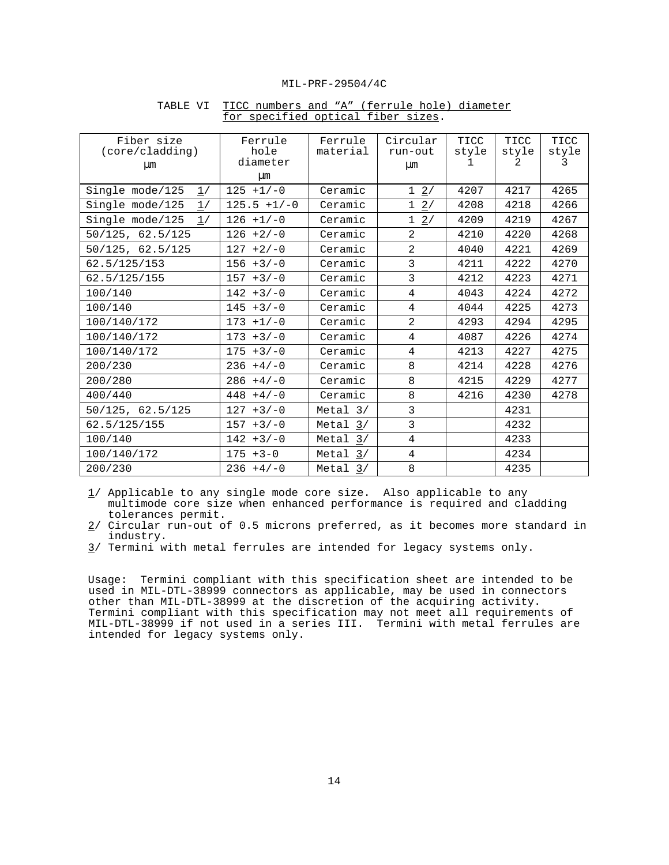| Fiber size<br>(core/cladding)<br>$\mu$ m | Ferrule<br>hole<br>diameter<br>μm | Ferrule<br>material | Circular<br>run-out<br><b>um</b> | TICC<br>style | TICC<br>style<br>2 | TICC<br>style<br>3 |
|------------------------------------------|-----------------------------------|---------------------|----------------------------------|---------------|--------------------|--------------------|
| Single mode/125<br>1/                    | $125 + 1/-0$                      | Ceramic             | $1 \t2/$                         | 4207          | 4217               | 4265               |
| Single mode/125<br>1/                    | $125.5 + 1/-0$                    | Ceramic             | $1 \t2/$                         | 4208          | 4218               | 4266               |
| Single mode/125<br>1/                    | $126 + 1/-0$                      | Ceramic             | $1 \t2/$                         | 4209          | 4219               | 4267               |
| 50/125, 62.5/125                         | $126 + 2/-0$                      | Ceramic             | 2                                | 4210          | 4220               | 4268               |
| 50/125, 62.5/125                         | $127 + 2/-0$                      | Ceramic             | 2                                | 4040          | 4221               | 4269               |
| 62.5/125/153                             | $156 + 3/-0$                      | Ceramic             | 3                                | 4211          | 4222               | 4270               |
| 62.5/125/155                             | $157 + 3/-0$                      | Ceramic             | 3                                | 4212          | 4223               | 4271               |
| 100/140                                  | $142 + 3/-0$                      | Ceramic             | 4                                | 4043          | 4224               | 4272               |
| 100/140                                  | $145 + 3/-0$                      | Ceramic             | 4                                | 4044          | 4225               | 4273               |
| 100/140/172                              | $173 + 1/-0$                      | Ceramic             | 2                                | 4293          | 4294               | 4295               |
| 100/140/172                              | $173 + 3/-0$                      | Ceramic             | 4                                | 4087          | 4226               | 4274               |
| 100/140/172                              | $175 + 3/-0$                      | Ceramic             | 4                                | 4213          | 4227               | 4275               |
| 200/230                                  | $236 + 4/-0$                      | Ceramic             | 8                                | 4214          | 4228               | 4276               |
| 200/280                                  | $286 + 4/-0$                      | Ceramic             | 8                                | 4215          | 4229               | 4277               |
| 400/440                                  | $448 + 4/-0$                      | Ceramic             | 8                                | 4216          | 4230               | 4278               |
| 50/125, 62.5/125                         | $127 + 3/-0$                      | Metal $3/$          | 3                                |               | 4231               |                    |
| 62.5/125/155                             | $157 + 3/-0$                      | Metal $3/$          | 3                                |               | 4232               |                    |
| 100/140                                  | $142 + 3/-0$                      | Metal $3/$          | $\overline{4}$                   |               | 4233               |                    |
| 100/140/172                              | $175 + 3 - 0$                     | Metal $3/$          | $\overline{4}$                   |               | 4234               |                    |
| 200/230                                  | $236 + 4/-0$                      | Metal $3/$          | 8                                |               | 4235               |                    |

## TABLE VI TICC numbers and "A" (ferrule hole) diameter for specified optical fiber sizes.

 $1/$  Applicable to any single mode core size. Also applicable to any multimode core size when enhanced performance is required and cladding tolerances permit.

 2/ Circular run-out of 0.5 microns preferred, as it becomes more standard in industry.

3/ Termini with metal ferrules are intended for legacy systems only.

 Usage: Termini compliant with this specification sheet are intended to be used in MIL-DTL-38999 connectors as applicable, may be used in connectors other than MIL-DTL-38999 at the discretion of the acquiring activity. Termini compliant with this specification may not meet all requirements of MIL-DTL-38999 if not used in a series III. Termini with metal ferrules are intended for legacy systems only.